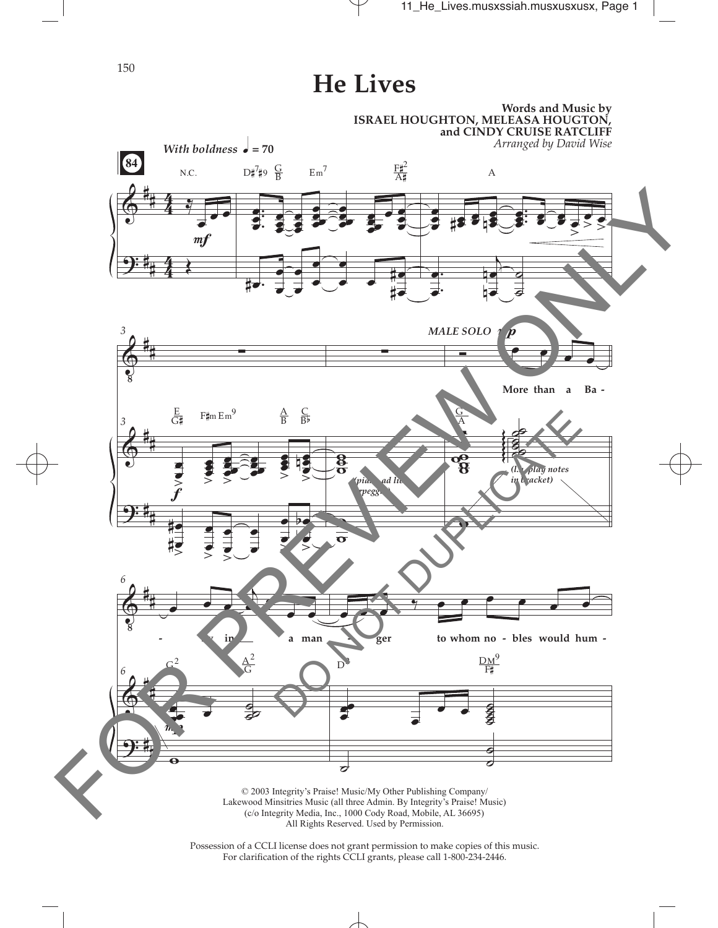150

## **He Lives**



Possession of a CCLI license does not grant permission to make copies of this music. For clarifcation of the rights CCLI grants, please call 1-800-234-2446.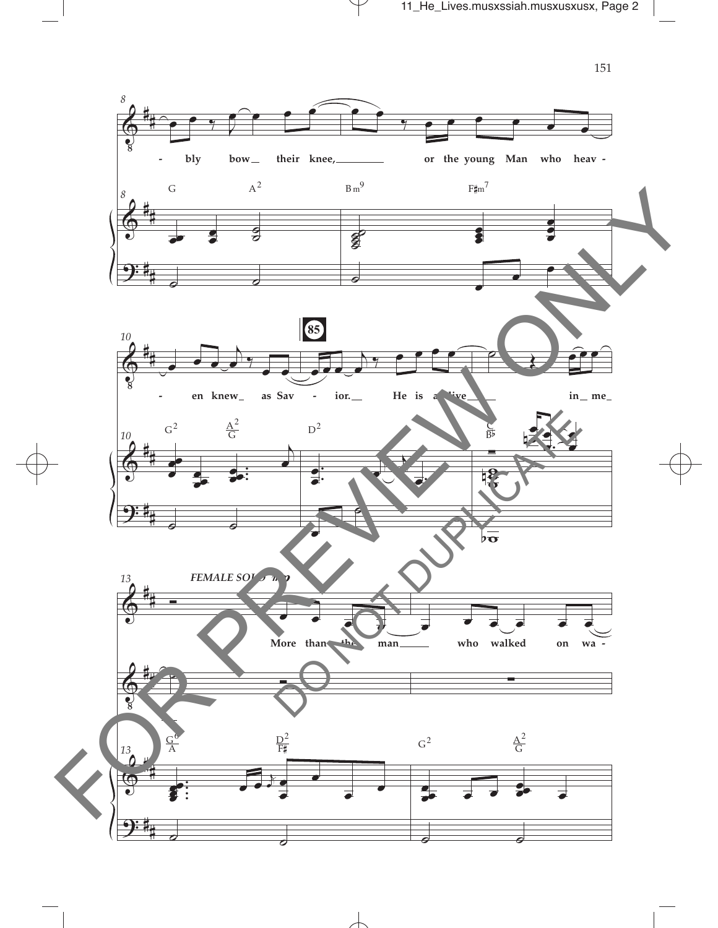

151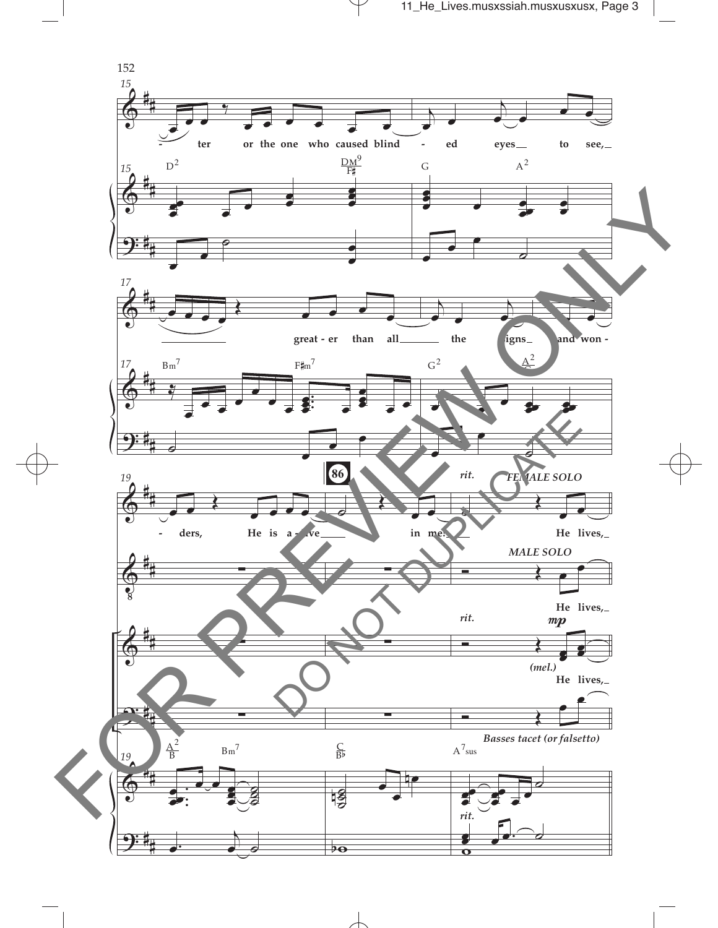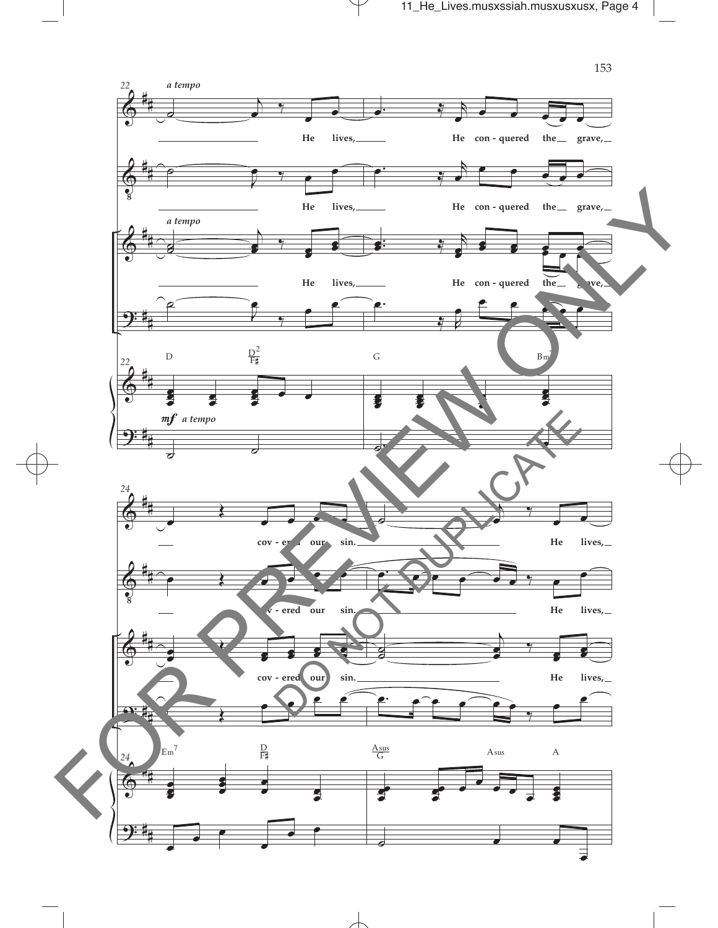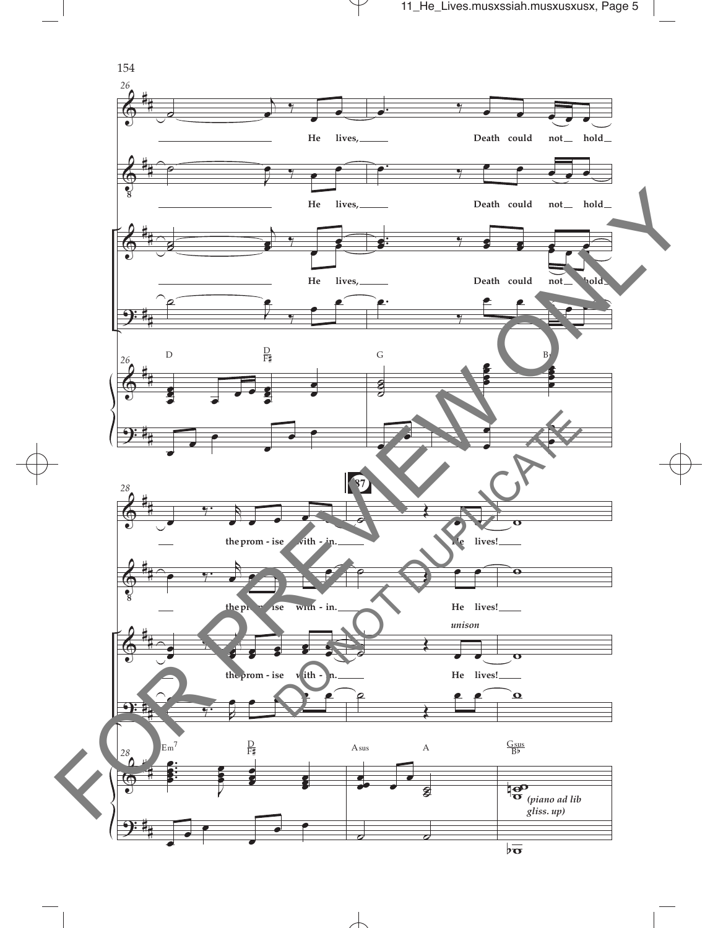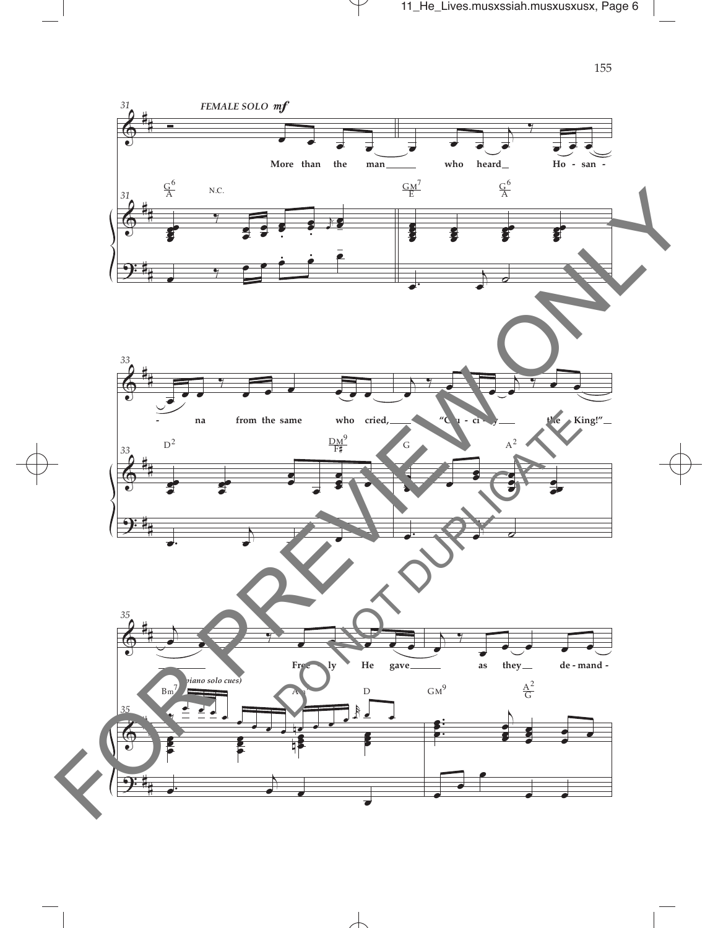

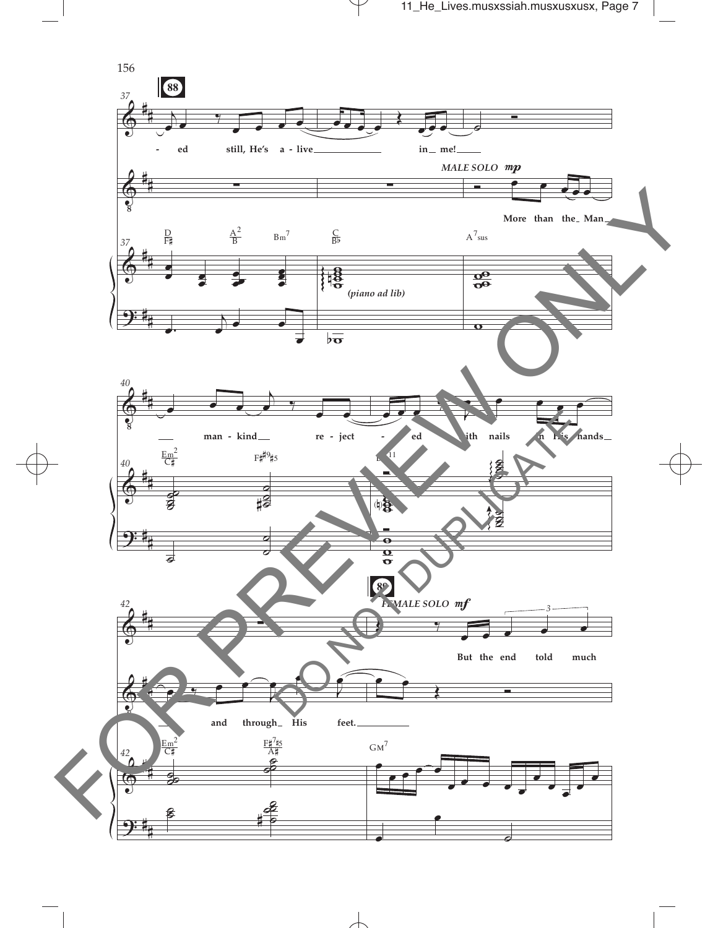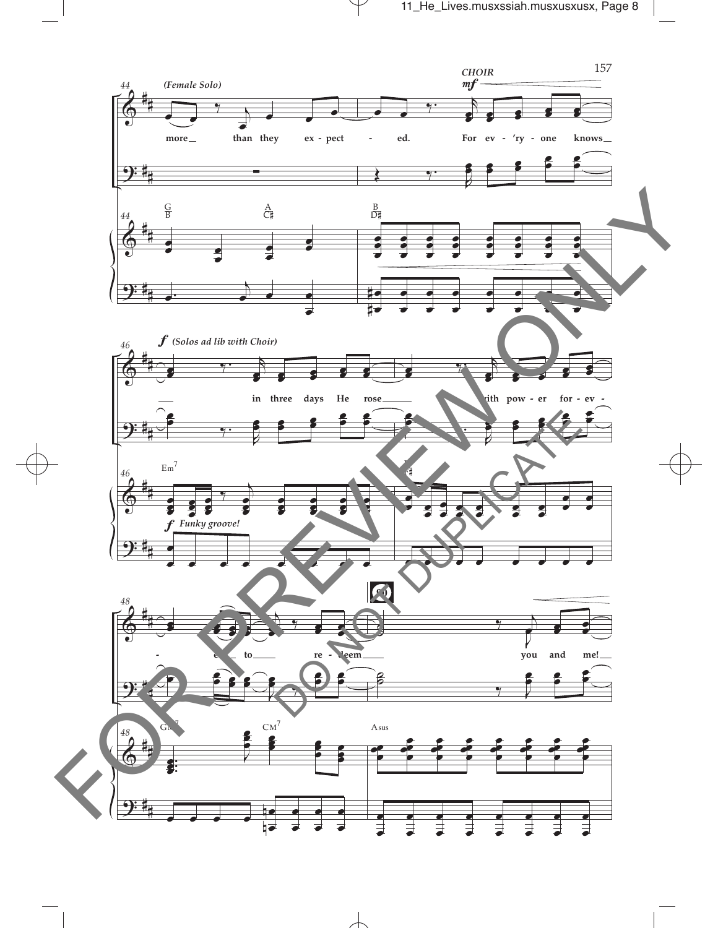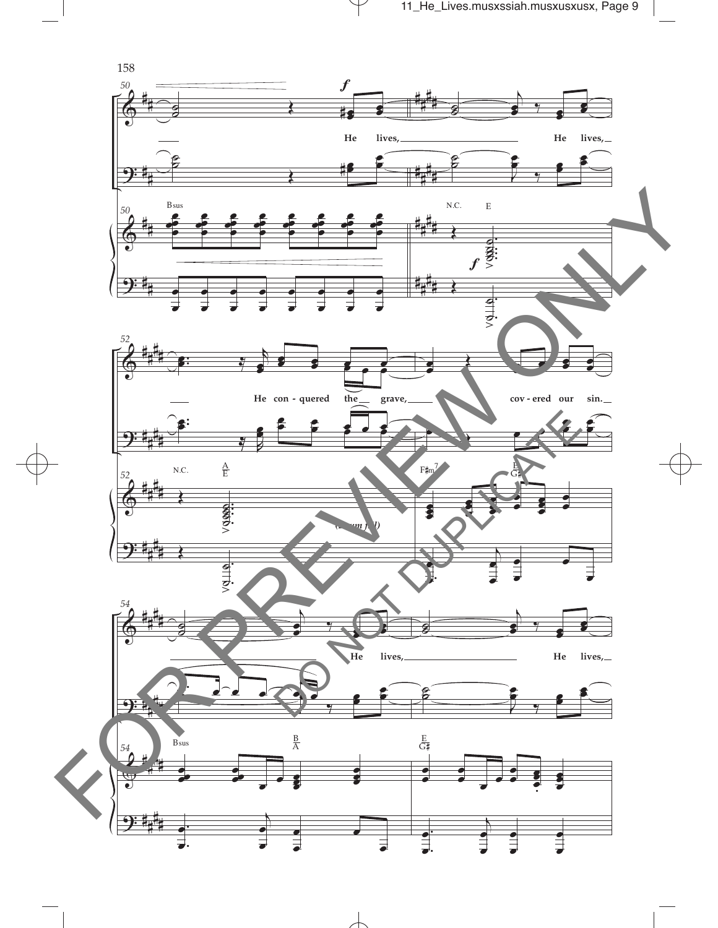

 $\top$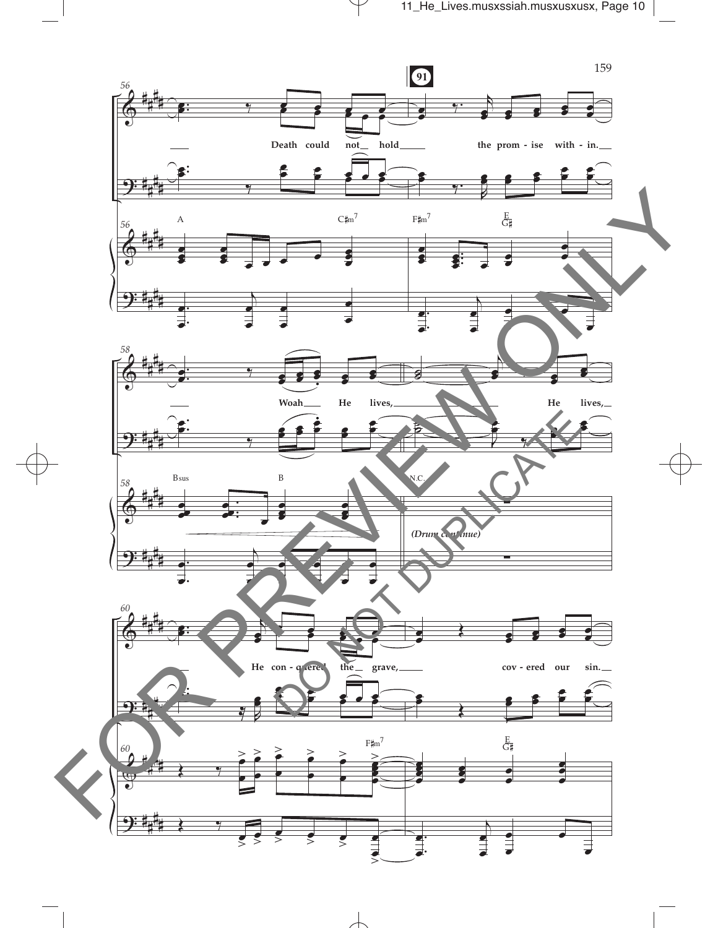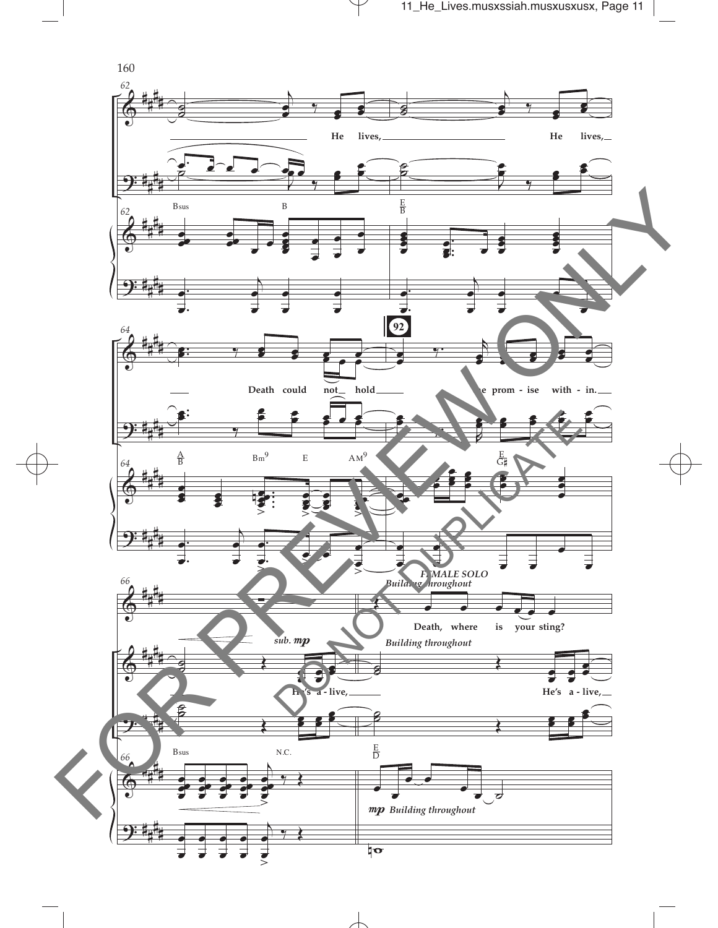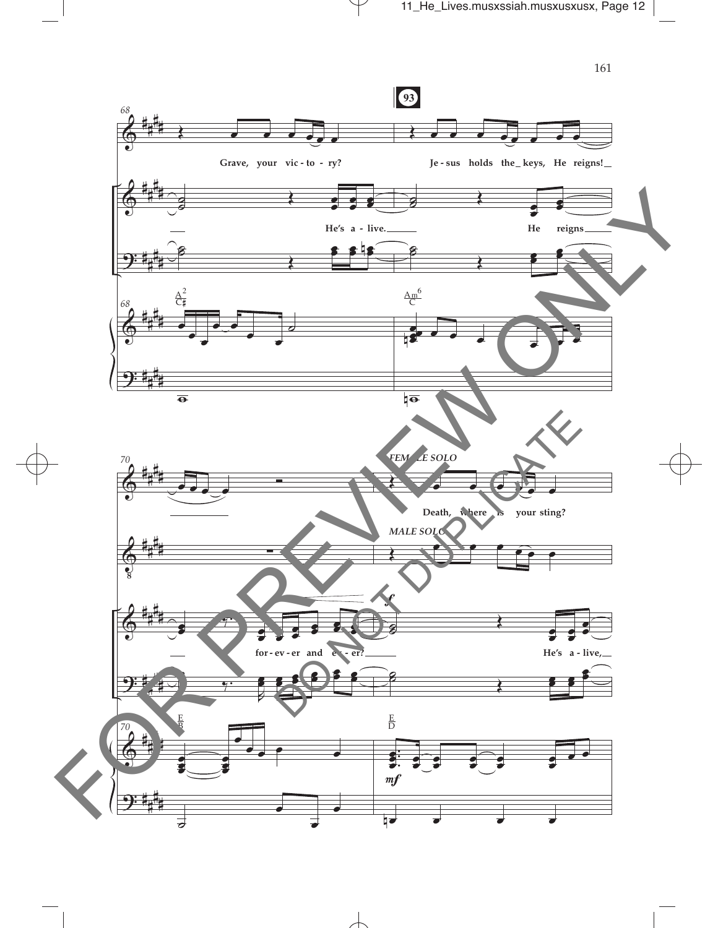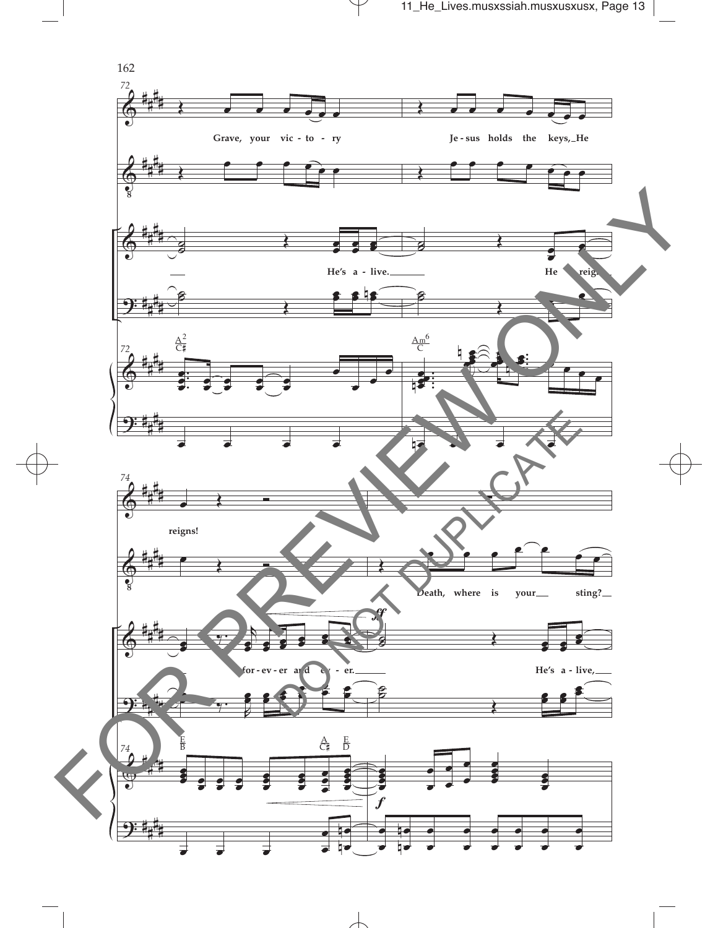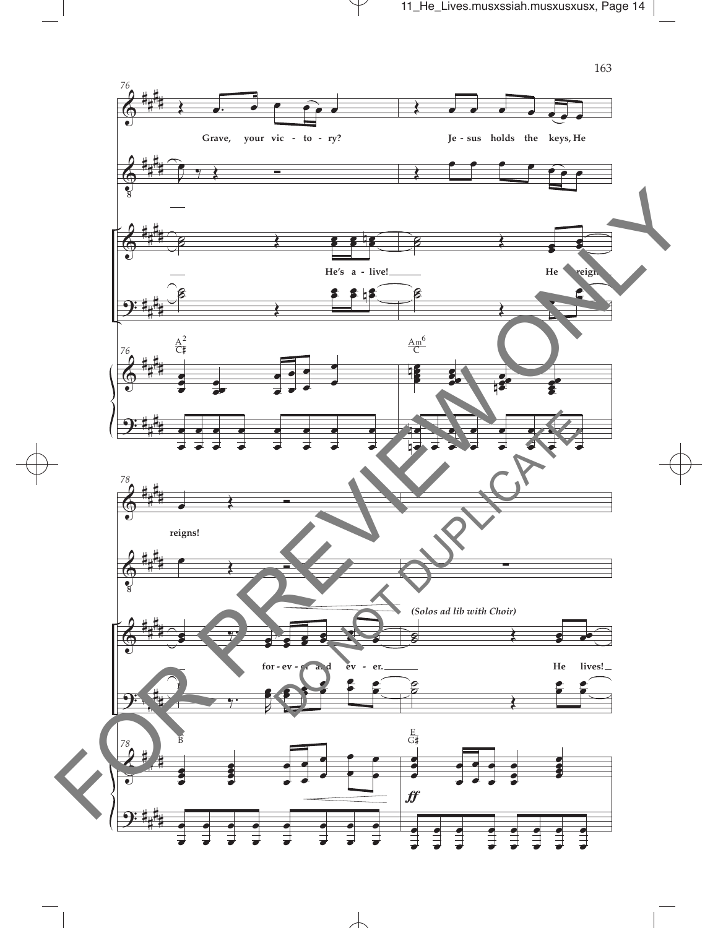